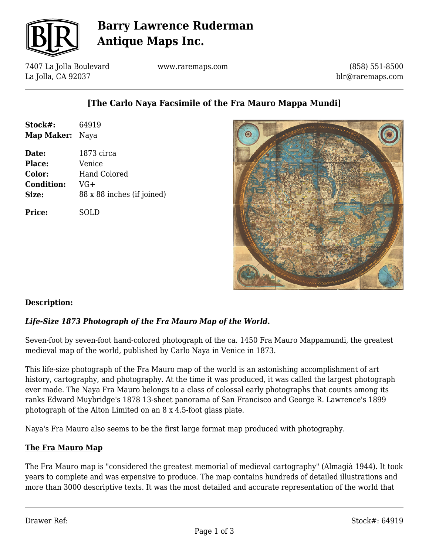

## **Barry Lawrence Ruderman Antique Maps Inc.**

7407 La Jolla Boulevard La Jolla, CA 92037

www.raremaps.com

(858) 551-8500 blr@raremaps.com

## **[The Carlo Naya Facsimile of the Fra Mauro Mappa Mundi]**

| Stock#:                | 64919                      |
|------------------------|----------------------------|
| <b>Map Maker:</b> Naya |                            |
| Date:                  | 1873 circa                 |
| <b>Place:</b>          | Venice                     |
| <b>Color:</b>          | <b>Hand Colored</b>        |
| <b>Condition:</b>      | VG+                        |
| Size:                  | 88 x 88 inches (if joined) |
| <b>Price:</b>          | SOLD                       |



### **Description:**

### *Life-Size 1873 Photograph of the Fra Mauro Map of the World.*

Seven-foot by seven-foot hand-colored photograph of the ca. 1450 Fra Mauro Mappamundi, the greatest medieval map of the world, published by Carlo Naya in Venice in 1873.

This life-size photograph of the Fra Mauro map of the world is an astonishing accomplishment of art history, cartography, and photography. At the time it was produced, it was called the largest photograph ever made. The Naya Fra Mauro belongs to a class of colossal early photographs that counts among its ranks Edward Muybridge's 1878 13-sheet panorama of San Francisco and George R. Lawrence's 1899 photograph of the Alton Limited on an 8 x 4.5-foot glass plate.

Naya's Fra Mauro also seems to be the first large format map produced with photography.

### **The Fra Mauro Map**

The Fra Mauro map is "considered the greatest memorial of medieval cartography" (Almagià 1944). It took years to complete and was expensive to produce. The map contains hundreds of detailed illustrations and more than 3000 descriptive texts. It was the most detailed and accurate representation of the world that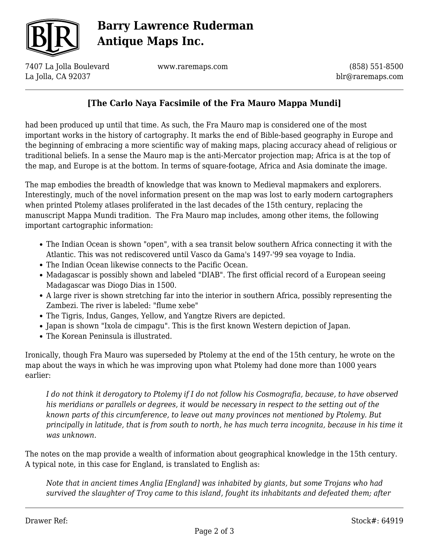

# **Barry Lawrence Ruderman Antique Maps Inc.**

7407 La Jolla Boulevard La Jolla, CA 92037

www.raremaps.com

(858) 551-8500 blr@raremaps.com

## **[The Carlo Naya Facsimile of the Fra Mauro Mappa Mundi]**

had been produced up until that time. As such, the Fra Mauro map is considered one of the most important works in the history of cartography. It marks the end of Bible-based geography in Europe and the beginning of embracing a more scientific way of making maps, placing accuracy ahead of religious or traditional beliefs. In a sense the Mauro map is the anti-Mercator projection map; Africa is at the top of the map, and Europe is at the bottom. In terms of square-footage, Africa and Asia dominate the image.

The map embodies the breadth of knowledge that was known to Medieval mapmakers and explorers. Interestingly, much of the novel information present on the map was lost to early modern cartographers when printed Ptolemy atlases proliferated in the last decades of the 15th century, replacing the manuscript Mappa Mundi tradition. The Fra Mauro map includes, among other items, the following important cartographic information:

- The Indian Ocean is shown "open", with a sea transit below southern Africa connecting it with the Atlantic. This was not rediscovered until Vasco da Gama's 1497-'99 sea voyage to India.
- The Indian Ocean likewise connects to the Pacific Ocean.
- Madagascar is possibly shown and labeled "DIAB". The first official record of a European seeing Madagascar was Diogo Dias in 1500.
- A large river is shown stretching far into the interior in southern Africa, possibly representing the Zambezi. The river is labeled: "flume xebe"
- The Tigris, Indus, Ganges, Yellow, and Yangtze Rivers are depicted.
- Japan is shown "Ixola de cimpagu". This is the first known Western depiction of Japan.
- The Korean Peninsula is illustrated.

Ironically, though Fra Mauro was superseded by Ptolemy at the end of the 15th century, he wrote on the map about the ways in which he was improving upon what Ptolemy had done more than 1000 years earlier:

*I do not think it derogatory to Ptolemy if I do not follow his Cosmografia, because, to have observed his meridians or parallels or degrees, it would be necessary in respect to the setting out of the known parts of this circumference, to leave out many provinces not mentioned by Ptolemy. But principally in latitude, that is from south to north, he has much terra incognita, because in his time it was unknown.*

The notes on the map provide a wealth of information about geographical knowledge in the 15th century. A typical note, in this case for England, is translated to English as:

*Note that in ancient times Anglia [England] was inhabited by giants, but some Trojans who had survived the slaughter of Troy came to this island, fought its inhabitants and defeated them; after*